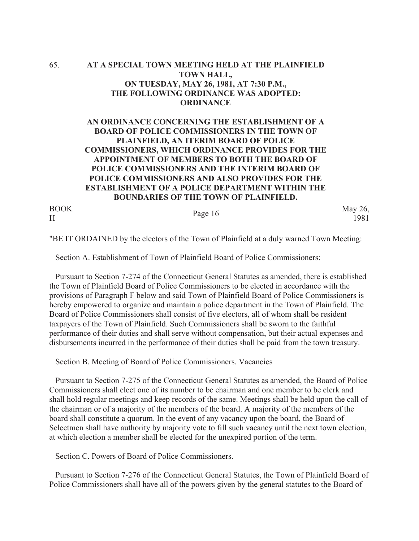## 65. **AT A SPECIAL TOWN MEETING HELD AT THE PLAINFIELD TOWN HALL, ON TUESDAY, MAY 26, 1981, AT 7:30 P.M., THE FOLLOWING ORDINANCE WAS ADOPTED: ORDINANCE**

## **AN ORDINANCE CONCERNING THE ESTABLISHMENT OF A BOARD OF POLICE COMMISSIONERS IN THE TOWN OF PLAINFIELD, AN ITERIM BOARD OF POLICE COMMISSIONERS, WHICH ORDINANCE PROVIDES FOR THE APPOINTMENT OF MEMBERS TO BOTH THE BOARD OF POLICE COMMISSIONERS AND THE INTERIM BOARD OF POLICE COMMISSIONERS AND ALSO PROVIDES FOR THE ESTABLISHMENT OF A POLICE DEPARTMENT WITHIN THE BOUNDARIES OF THE TOWN OF PLAINFIELD.**

BOOK

BOOK Page 16 May 26, May 26, 1981 1981

"BE IT ORDAINED by the electors of the Town of Plainfield at a duly warned Town Meeting:

Section A. Establishment of Town of Plainfield Board of Police Commissioners:

 Pursuant to Section 7-274 of the Connecticut General Statutes as amended, there is established the Town of Plainfield Board of Police Commissioners to be elected in accordance with the provisions of Paragraph F below and said Town of Plainfield Board of Police Commissioners is hereby empowered to organize and maintain a police department in the Town of Plainfield. The Board of Police Commissioners shall consist of five electors, all of whom shall be resident taxpayers of the Town of Plainfield. Such Commissioners shall be sworn to the faithful performance of their duties and shall serve without compensation, but their actual expenses and disbursements incurred in the performance of their duties shall be paid from the town treasury.

Section B. Meeting of Board of Police Commissioners. Vacancies

 Pursuant to Section 7-275 of the Connecticut General Statutes as amended, the Board of Police Commissioners shall elect one of its number to be chairman and one member to be clerk and shall hold regular meetings and keep records of the same. Meetings shall be held upon the call of the chairman or of a majority of the members of the board. A majority of the members of the board shall constitute a quorum. In the event of any vacancy upon the board, the Board of Selectmen shall have authority by majority vote to fill such vacancy until the next town election, at which election a member shall be elected for the unexpired portion of the term.

Section C. Powers of Board of Police Commissioners.

 Pursuant to Section 7-276 of the Connecticut General Statutes, the Town of Plainfield Board of Police Commissioners shall have all of the powers given by the general statutes to the Board of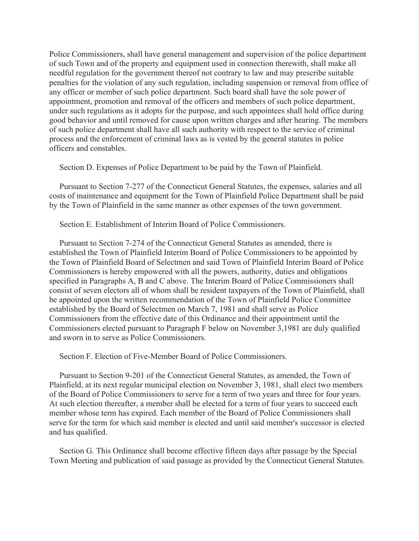Police Commissioners, shall have general management and supervision of the police department of such Town and of the property and equipment used in connection therewith, shall make all needful regulation for the government thereof not contrary to law and may prescribe suitable penalties for the violation of any such regulation, including suspension or removal from office of any officer or member of such police department. Such board shall have the sole power of appointment, promotion and removal of the officers and members of such police department, under such regulations as it adopts for the purpose, and such appointees shall hold office during good behavior and until removed for cause upon written charges and after hearing. The members of such police department shall have all such authority with respect to the service of criminal process and the enforcement of criminal laws as is vested by the general statutes in police officers and constables.

Section D. Expenses of Police Department to be paid by the Town of Plainfield.

 Pursuant to Section 7-277 of the Connecticut General Statutes, the expenses, salaries and all costs of maintenance and equipment for the Town of Plainfield Police Department shall be paid by the Town of Plainfield in the same manner as other expenses of the town government.

Section E. Establishment of Interim Board of Police Commissioners.

 Pursuant to Section 7-274 of the Connecticut General Statutes as amended, there is established the Town of Plainfield Interim Board of Police Commissioners to be appointed by the Town of Plainfield Board of Selectmen and said Town of Plainfield Interim Board of Police Commissioners is hereby empowered with all the powers, authority, duties and obligations specified in Paragraphs A, B and C above. The Interim Board of Police Commissioners shall consist of seven electors all of whom shall be resident taxpayers of the Town of Plainfield, shall be appointed upon the written recommendation of the Town of Plainfield Police Committee established by the Board of Selectmen on March 7, 1981 and shall serve as Police Commissioners from the effective date of this Ordinance and their appointment until the Commissioners elected pursuant to Paragraph F below on November 3,1981 are duly qualified and sworn in to serve as Police Commissioners.

Section F. Election of Five-Member Board of Police Commissioners.

 Pursuant to Section 9-201 of the Connecticut General Statutes, as amended, the Town of Plainfield, at its next regular municipal election on November 3, 1981, shall elect two members of the Board of Police Commissioners to serve for a term of two years and three for four years. At such election thereafter, a member shall be elected for a term of four years to succeed each member whose term has expired. Each member of the Board of Police Commissioners shall serve for the term for which said member is elected and until said member's successor is elected and has qualified.

 Section G. This Ordinance shall become effective fifteen days after passage by the Special Town Meeting and publication of said passage as provided by the Connecticut General Statutes.